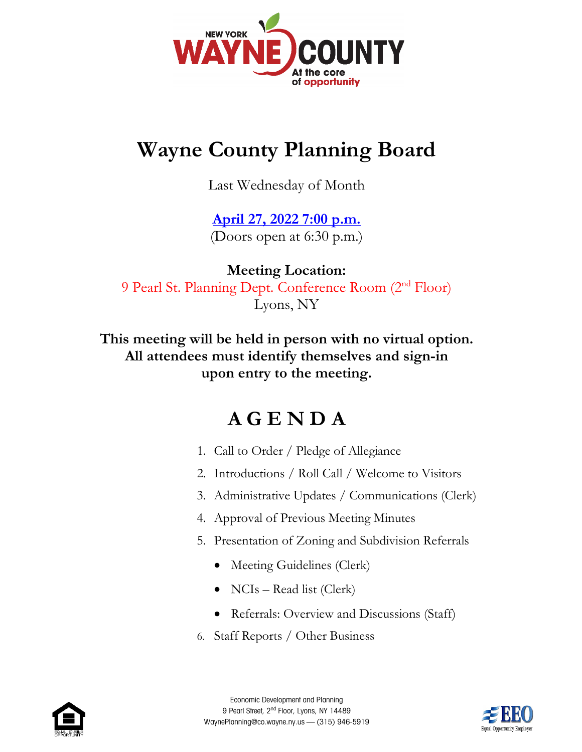

## **Wayne County Planning Board**

Last Wednesday of Month

## **[April 27, 2022](https://web.co.wayne.ny.us/Calendar.aspx?EID=416&month=3&year=2022&day=30&calType=0) 7:00 p.m.** (Doors open at 6:30 p.m.)

**Meeting Location:** 9 Pearl St. Planning Dept. Conference Room (2nd Floor) Lyons, NY

**This meeting will be held in person with no virtual option. All attendees must identify themselves and sign-in upon entry to the meeting.**

## **A G E N D A**

- 1. Call to Order / Pledge of Allegiance
- 2. Introductions / Roll Call / Welcome to Visitors
- 3. Administrative Updates / Communications (Clerk)
- 4. Approval of Previous Meeting Minutes
- 5. Presentation of Zoning and Subdivision Referrals
	- Meeting Guidelines (Clerk)
	- NCIs Read list (Clerk)
	- Referrals: Overview and Discussions (Staff)
- 6. Staff Reports / Other Business